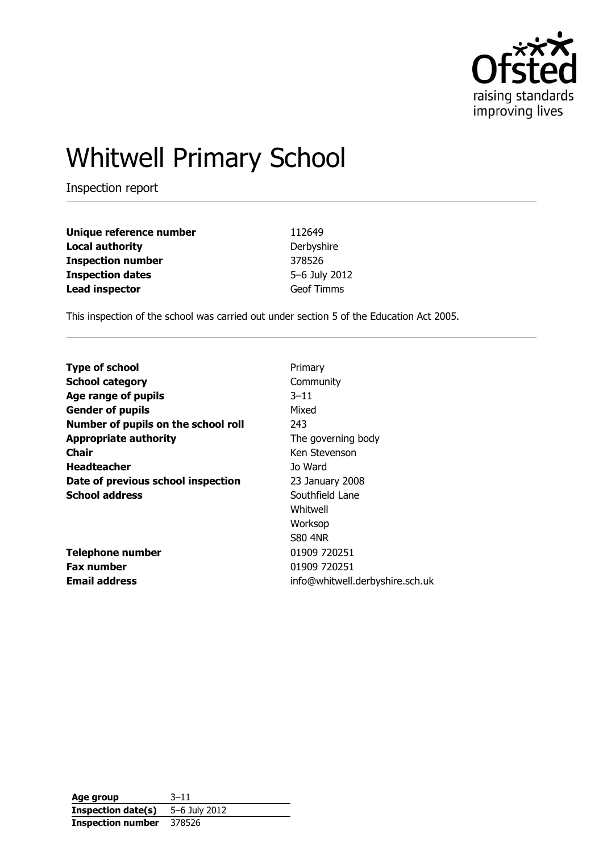

# Whitwell Primary School

Inspection report

| Unique reference number  | 112649            |
|--------------------------|-------------------|
| <b>Local authority</b>   | Derbyshire        |
| <b>Inspection number</b> | 378526            |
| <b>Inspection dates</b>  | 5-6 July 2012     |
| <b>Lead inspector</b>    | <b>Geof Timms</b> |

This inspection of the school was carried out under section 5 of the Education Act 2005.

| <b>Type of school</b>               | Primary                         |
|-------------------------------------|---------------------------------|
| <b>School category</b>              | Community                       |
| Age range of pupils                 | $3 - 11$                        |
| <b>Gender of pupils</b>             | Mixed                           |
| Number of pupils on the school roll | 243                             |
| <b>Appropriate authority</b>        | The governing body              |
| <b>Chair</b>                        | Ken Stevenson                   |
| <b>Headteacher</b>                  | Jo Ward                         |
| Date of previous school inspection  | 23 January 2008                 |
| <b>School address</b>               | Southfield Lane                 |
|                                     | Whitwell                        |
|                                     | Worksop                         |
|                                     | <b>S80 4NR</b>                  |
| <b>Telephone number</b>             | 01909 720251                    |
| <b>Fax number</b>                   | 01909 720251                    |
| <b>Email address</b>                | info@whitwell.derbyshire.sch.uk |

**Age group** 3–11 **Inspection date(s)** 5–6 July 2012 **Inspection number** 378526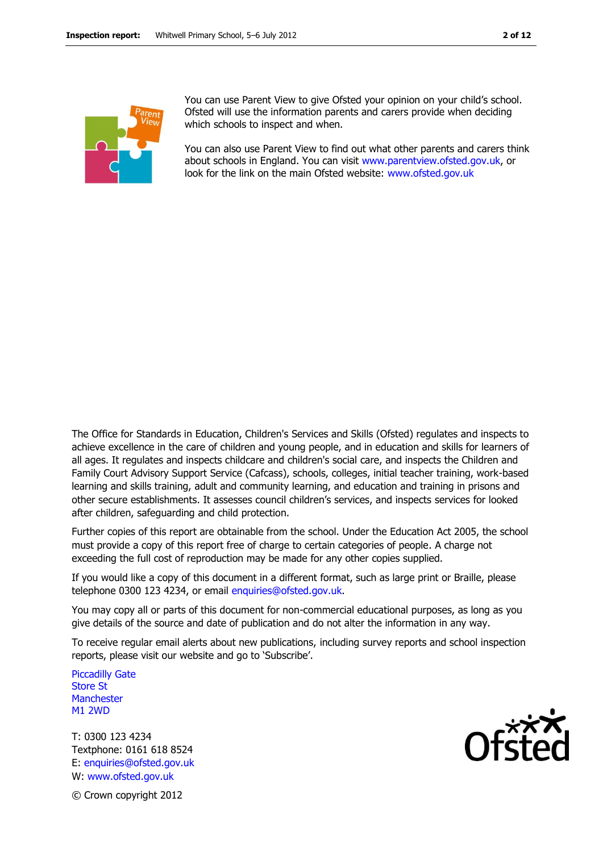

You can use Parent View to give Ofsted your opinion on your child's school. Ofsted will use the information parents and carers provide when deciding which schools to inspect and when.

You can also use Parent View to find out what other parents and carers think about schools in England. You can visit [www.parentview.ofsted.gov.uk,](http://www.parentview.ofsted.gov.uk/) or look for the link on the main Ofsted website: [www.ofsted.gov.uk](http://www.ofsted.gov.uk/)

The Office for Standards in Education, Children's Services and Skills (Ofsted) regulates and inspects to achieve excellence in the care of children and young people, and in education and skills for learners of all ages. It regulates and inspects childcare and children's social care, and inspects the Children and Family Court Advisory Support Service (Cafcass), schools, colleges, initial teacher training, work-based learning and skills training, adult and community learning, and education and training in prisons and other secure establishments. It assesses council children's services, and inspects services for looked after children, safeguarding and child protection.

Further copies of this report are obtainable from the school. Under the Education Act 2005, the school must provide a copy of this report free of charge to certain categories of people. A charge not exceeding the full cost of reproduction may be made for any other copies supplied.

If you would like a copy of this document in a different format, such as large print or Braille, please telephone 0300 123 4234, or email enquiries@ofsted.gov.uk.

You may copy all or parts of this document for non-commercial educational purposes, as long as you give details of the source and date of publication and do not alter the information in any way.

To receive regular email alerts about new publications, including survey reports and school inspection reports, please visit our website and go to 'Subscribe'.

Piccadilly Gate Store St **Manchester** M1 2WD

T: 0300 123 4234 Textphone: 0161 618 8524 E: enquiries@ofsted.gov.uk W: www.ofsted.gov.uk



© Crown copyright 2012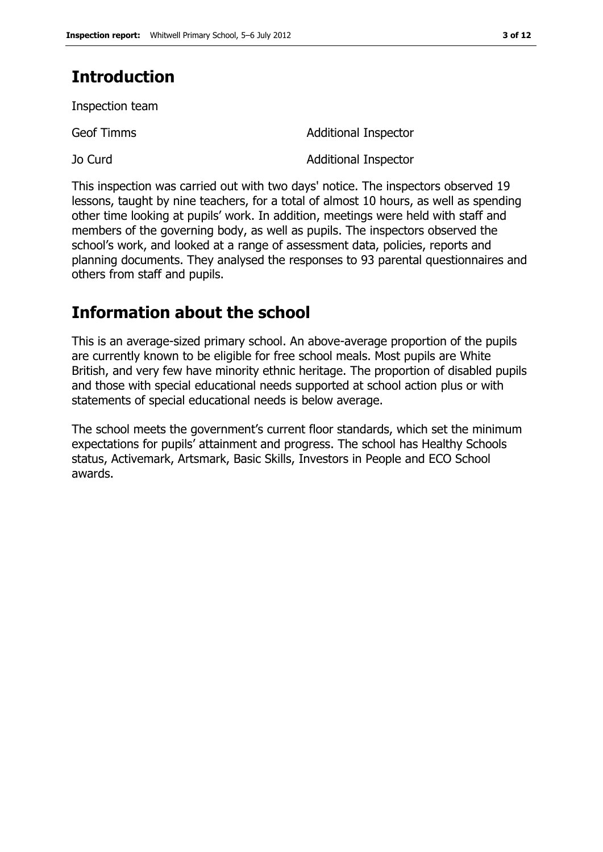# **Introduction**

Inspection team

| <b>Geof Timms</b> |
|-------------------|
|                   |

Additional Inspector

Jo Curd **Additional Inspector** 

This inspection was carried out with two days' notice. The inspectors observed 19 lessons, taught by nine teachers, for a total of almost 10 hours, as well as spending other time looking at pupils' work. In addition, meetings were held with staff and members of the governing body, as well as pupils. The inspectors observed the school's work, and looked at a range of assessment data, policies, reports and planning documents. They analysed the responses to 93 parental questionnaires and others from staff and pupils.

# **Information about the school**

This is an average-sized primary school. An above-average proportion of the pupils are currently known to be eligible for free school meals. Most pupils are White British, and very few have minority ethnic heritage. The proportion of disabled pupils and those with special educational needs supported at school action plus or with statements of special educational needs is below average.

The school meets the government's current floor standards, which set the minimum expectations for pupils' attainment and progress. The school has Healthy Schools status, Activemark, Artsmark, Basic Skills, Investors in People and ECO School awards.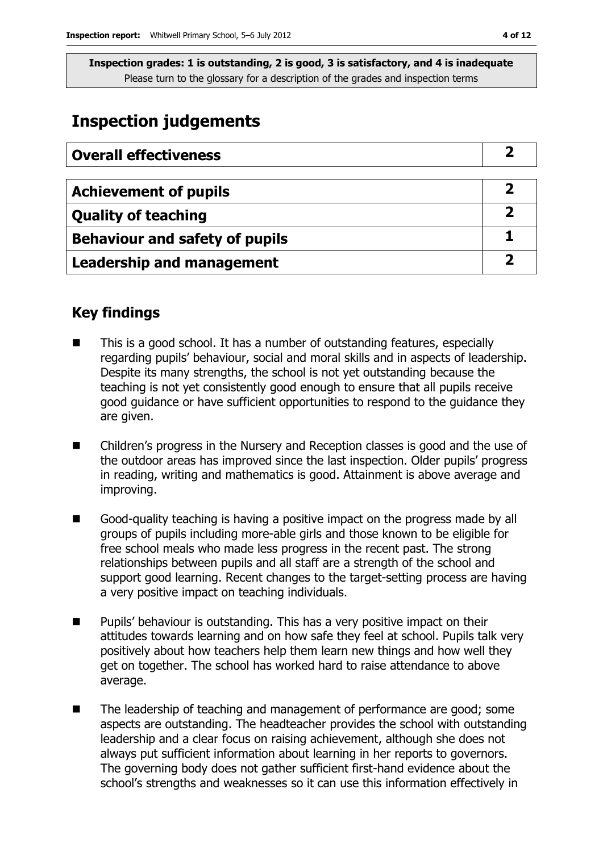## **Inspection judgements**

| <b>Overall effectiveness</b>          |  |
|---------------------------------------|--|
|                                       |  |
| <b>Achievement of pupils</b>          |  |
| <b>Quality of teaching</b>            |  |
| <b>Behaviour and safety of pupils</b> |  |
| <b>Leadership and management</b>      |  |

## **Key findings**

- This is a good school. It has a number of outstanding features, especially regarding pupils' behaviour, social and moral skills and in aspects of leadership. Despite its many strengths, the school is not yet outstanding because the teaching is not yet consistently good enough to ensure that all pupils receive good guidance or have sufficient opportunities to respond to the guidance they are given.
- Children's progress in the Nursery and Reception classes is good and the use of the outdoor areas has improved since the last inspection. Older pupils' progress in reading, writing and mathematics is good. Attainment is above average and improving.
- Good-quality teaching is having a positive impact on the progress made by all groups of pupils including more-able girls and those known to be eligible for free school meals who made less progress in the recent past. The strong relationships between pupils and all staff are a strength of the school and support good learning. Recent changes to the target-setting process are having a very positive impact on teaching individuals.
- Pupils' behaviour is outstanding. This has a very positive impact on their attitudes towards learning and on how safe they feel at school. Pupils talk very positively about how teachers help them learn new things and how well they get on together. The school has worked hard to raise attendance to above average.
- The leadership of teaching and management of performance are good; some aspects are outstanding. The headteacher provides the school with outstanding leadership and a clear focus on raising achievement, although she does not always put sufficient information about learning in her reports to governors. The governing body does not gather sufficient first-hand evidence about the school's strengths and weaknesses so it can use this information effectively in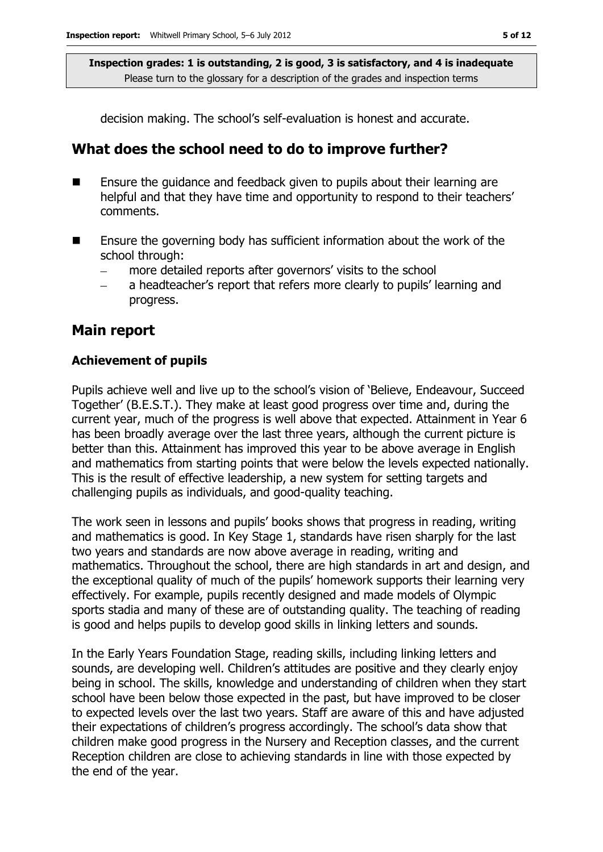decision making. The school's self-evaluation is honest and accurate.

### **What does the school need to do to improve further?**

- **E** Ensure the guidance and feedback given to pupils about their learning are helpful and that they have time and opportunity to respond to their teachers' comments.
- **Ensure the governing body has sufficient information about the work of the** school through:
	- more detailed reports after governors' visits to the school
	- a headteacher's report that refers more clearly to pupils' learning and progress.

### **Main report**

#### **Achievement of pupils**

Pupils achieve well and live up to the school's vision of 'Believe, Endeavour, Succeed Together' (B.E.S.T.). They make at least good progress over time and, during the current year, much of the progress is well above that expected. Attainment in Year 6 has been broadly average over the last three years, although the current picture is better than this. Attainment has improved this year to be above average in English and mathematics from starting points that were below the levels expected nationally. This is the result of effective leadership, a new system for setting targets and challenging pupils as individuals, and good-quality teaching.

The work seen in lessons and pupils' books shows that progress in reading, writing and mathematics is good. In Key Stage 1, standards have risen sharply for the last two years and standards are now above average in reading, writing and mathematics. Throughout the school, there are high standards in art and design, and the exceptional quality of much of the pupils' homework supports their learning very effectively. For example, pupils recently designed and made models of Olympic sports stadia and many of these are of outstanding quality. The teaching of reading is good and helps pupils to develop good skills in linking letters and sounds.

In the Early Years Foundation Stage, reading skills, including linking letters and sounds, are developing well. Children's attitudes are positive and they clearly enjoy being in school. The skills, knowledge and understanding of children when they start school have been below those expected in the past, but have improved to be closer to expected levels over the last two years. Staff are aware of this and have adjusted their expectations of children's progress accordingly. The school's data show that children make good progress in the Nursery and Reception classes, and the current Reception children are close to achieving standards in line with those expected by the end of the year.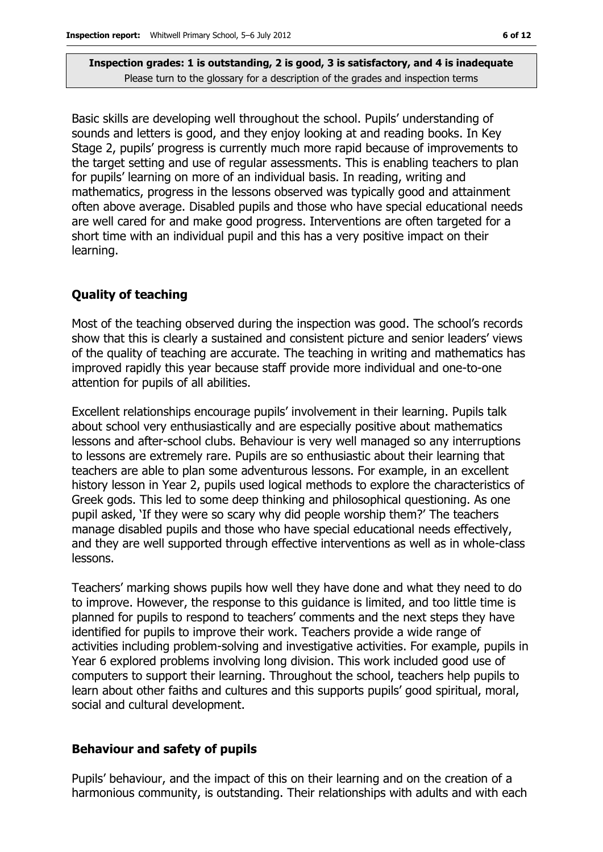Basic skills are developing well throughout the school. Pupils' understanding of sounds and letters is good, and they enjoy looking at and reading books. In Key Stage 2, pupils' progress is currently much more rapid because of improvements to the target setting and use of regular assessments. This is enabling teachers to plan for pupils' learning on more of an individual basis. In reading, writing and mathematics, progress in the lessons observed was typically good and attainment often above average. Disabled pupils and those who have special educational needs are well cared for and make good progress. Interventions are often targeted for a short time with an individual pupil and this has a very positive impact on their learning.

#### **Quality of teaching**

Most of the teaching observed during the inspection was good. The school's records show that this is clearly a sustained and consistent picture and senior leaders' views of the quality of teaching are accurate. The teaching in writing and mathematics has improved rapidly this year because staff provide more individual and one-to-one attention for pupils of all abilities.

Excellent relationships encourage pupils' involvement in their learning. Pupils talk about school very enthusiastically and are especially positive about mathematics lessons and after-school clubs. Behaviour is very well managed so any interruptions to lessons are extremely rare. Pupils are so enthusiastic about their learning that teachers are able to plan some adventurous lessons. For example, in an excellent history lesson in Year 2, pupils used logical methods to explore the characteristics of Greek gods. This led to some deep thinking and philosophical questioning. As one pupil asked, 'If they were so scary why did people worship them?' The teachers manage disabled pupils and those who have special educational needs effectively, and they are well supported through effective interventions as well as in whole-class lessons.

Teachers' marking shows pupils how well they have done and what they need to do to improve. However, the response to this guidance is limited, and too little time is planned for pupils to respond to teachers' comments and the next steps they have identified for pupils to improve their work. Teachers provide a wide range of activities including problem-solving and investigative activities. For example, pupils in Year 6 explored problems involving long division. This work included good use of computers to support their learning. Throughout the school, teachers help pupils to learn about other faiths and cultures and this supports pupils' good spiritual, moral, social and cultural development.

#### **Behaviour and safety of pupils**

Pupils' behaviour, and the impact of this on their learning and on the creation of a harmonious community, is outstanding. Their relationships with adults and with each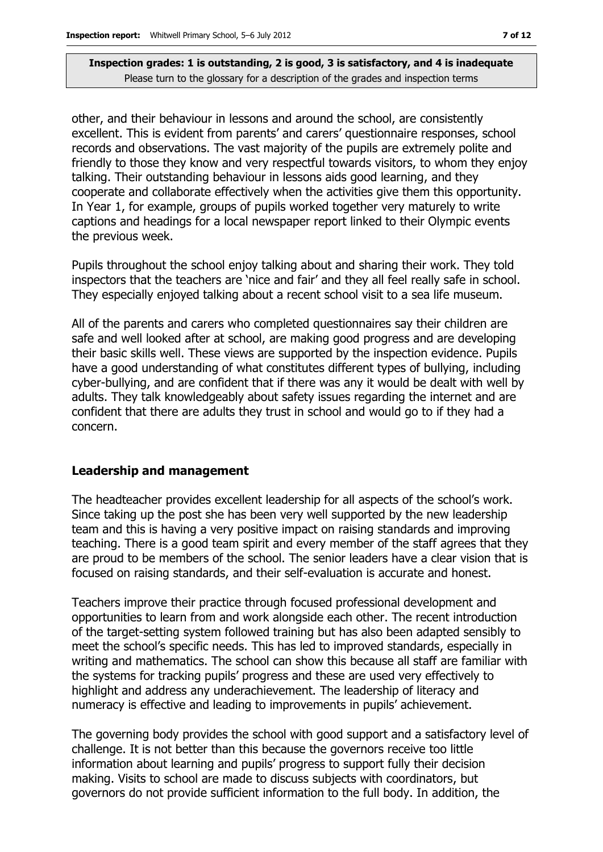other, and their behaviour in lessons and around the school, are consistently excellent. This is evident from parents' and carers' questionnaire responses, school records and observations. The vast majority of the pupils are extremely polite and friendly to those they know and very respectful towards visitors, to whom they enjoy talking. Their outstanding behaviour in lessons aids good learning, and they cooperate and collaborate effectively when the activities give them this opportunity. In Year 1, for example, groups of pupils worked together very maturely to write captions and headings for a local newspaper report linked to their Olympic events the previous week.

Pupils throughout the school enjoy talking about and sharing their work. They told inspectors that the teachers are 'nice and fair' and they all feel really safe in school. They especially enjoyed talking about a recent school visit to a sea life museum.

All of the parents and carers who completed questionnaires say their children are safe and well looked after at school, are making good progress and are developing their basic skills well. These views are supported by the inspection evidence. Pupils have a good understanding of what constitutes different types of bullying, including cyber-bullying, and are confident that if there was any it would be dealt with well by adults. They talk knowledgeably about safety issues regarding the internet and are confident that there are adults they trust in school and would go to if they had a concern.

#### **Leadership and management**

The headteacher provides excellent leadership for all aspects of the school's work. Since taking up the post she has been very well supported by the new leadership team and this is having a very positive impact on raising standards and improving teaching. There is a good team spirit and every member of the staff agrees that they are proud to be members of the school. The senior leaders have a clear vision that is focused on raising standards, and their self-evaluation is accurate and honest.

Teachers improve their practice through focused professional development and opportunities to learn from and work alongside each other. The recent introduction of the target-setting system followed training but has also been adapted sensibly to meet the school's specific needs. This has led to improved standards, especially in writing and mathematics. The school can show this because all staff are familiar with the systems for tracking pupils' progress and these are used very effectively to highlight and address any underachievement. The leadership of literacy and numeracy is effective and leading to improvements in pupils' achievement.

The governing body provides the school with good support and a satisfactory level of challenge. It is not better than this because the governors receive too little information about learning and pupils' progress to support fully their decision making. Visits to school are made to discuss subjects with coordinators, but governors do not provide sufficient information to the full body. In addition, the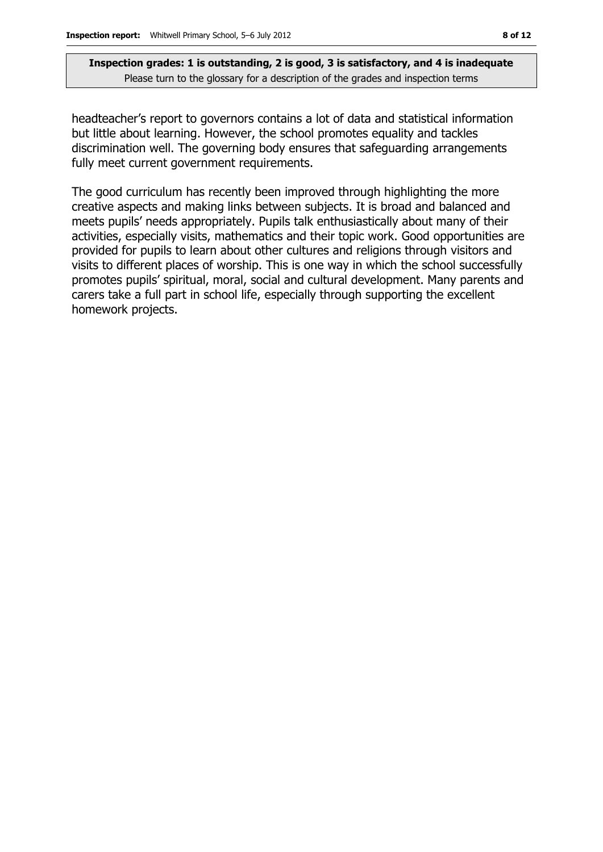headteacher's report to governors contains a lot of data and statistical information but little about learning. However, the school promotes equality and tackles discrimination well. The governing body ensures that safeguarding arrangements fully meet current government requirements.

The good curriculum has recently been improved through highlighting the more creative aspects and making links between subjects. It is broad and balanced and meets pupils' needs appropriately. Pupils talk enthusiastically about many of their activities, especially visits, mathematics and their topic work. Good opportunities are provided for pupils to learn about other cultures and religions through visitors and visits to different places of worship. This is one way in which the school successfully promotes pupils' spiritual, moral, social and cultural development. Many parents and carers take a full part in school life, especially through supporting the excellent homework projects.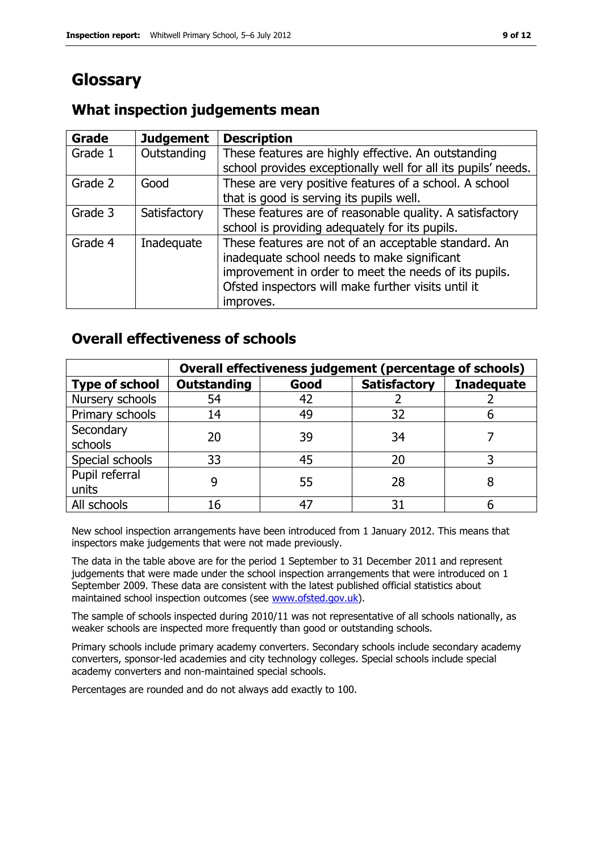# **Glossary**

#### **Grade Judgement Description** Grade  $1$  | Outstanding | These features are highly effective. An outstanding school provides exceptionally well for all its pupils' needs. Grade 2  $\Box$  Good These are very positive features of a school. A school that is good is serving its pupils well. Grade 3  $\parallel$  Satisfactory  $\parallel$  These features are of reasonable quality. A satisfactory school is providing adequately for its pupils. Grade 4 | Inadequate | These features are not of an acceptable standard. An inadequate school needs to make significant improvement in order to meet the needs of its pupils. Ofsted inspectors will make further visits until it improves.

## **What inspection judgements mean**

## **Overall effectiveness of schools**

|                         | Overall effectiveness judgement (percentage of schools) |      |                     |                   |
|-------------------------|---------------------------------------------------------|------|---------------------|-------------------|
| <b>Type of school</b>   | <b>Outstanding</b>                                      | Good | <b>Satisfactory</b> | <b>Inadequate</b> |
| Nursery schools         | 54                                                      | 42   |                     |                   |
| Primary schools         | 14                                                      | 49   | 32                  |                   |
| Secondary<br>schools    | 20                                                      | 39   | 34                  |                   |
| Special schools         | 33                                                      | 45   | 20                  |                   |
| Pupil referral<br>units | 9                                                       | 55   | 28                  |                   |
| All schools             | 16                                                      | 47   | 31                  |                   |

New school inspection arrangements have been introduced from 1 January 2012. This means that inspectors make judgements that were not made previously.

The data in the table above are for the period 1 September to 31 December 2011 and represent judgements that were made under the school inspection arrangements that were introduced on 1 September 2009. These data are consistent with the latest published official statistics about maintained school inspection outcomes (see [www.ofsted.gov.uk\)](http://www.ofsted.gov.uk/).

The sample of schools inspected during 2010/11 was not representative of all schools nationally, as weaker schools are inspected more frequently than good or outstanding schools.

Primary schools include primary academy converters. Secondary schools include secondary academy converters, sponsor-led academies and city technology colleges. Special schools include special academy converters and non-maintained special schools.

Percentages are rounded and do not always add exactly to 100.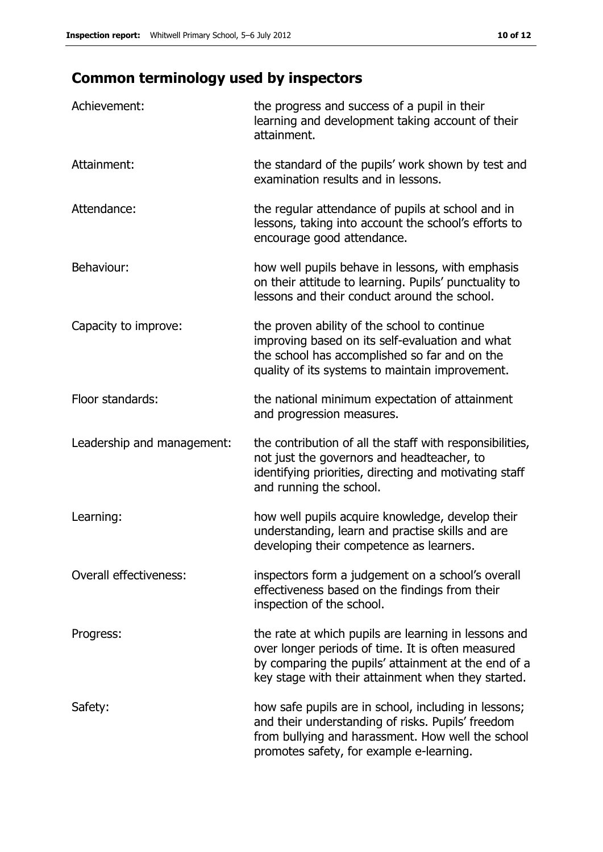# **Common terminology used by inspectors**

| Achievement:               | the progress and success of a pupil in their<br>learning and development taking account of their<br>attainment.                                                                                                        |
|----------------------------|------------------------------------------------------------------------------------------------------------------------------------------------------------------------------------------------------------------------|
| Attainment:                | the standard of the pupils' work shown by test and<br>examination results and in lessons.                                                                                                                              |
| Attendance:                | the regular attendance of pupils at school and in<br>lessons, taking into account the school's efforts to<br>encourage good attendance.                                                                                |
| Behaviour:                 | how well pupils behave in lessons, with emphasis<br>on their attitude to learning. Pupils' punctuality to<br>lessons and their conduct around the school.                                                              |
| Capacity to improve:       | the proven ability of the school to continue<br>improving based on its self-evaluation and what<br>the school has accomplished so far and on the<br>quality of its systems to maintain improvement.                    |
| Floor standards:           | the national minimum expectation of attainment<br>and progression measures.                                                                                                                                            |
| Leadership and management: | the contribution of all the staff with responsibilities,<br>not just the governors and headteacher, to<br>identifying priorities, directing and motivating staff<br>and running the school.                            |
| Learning:                  | how well pupils acquire knowledge, develop their<br>understanding, learn and practise skills and are<br>developing their competence as learners.                                                                       |
| Overall effectiveness:     | inspectors form a judgement on a school's overall<br>effectiveness based on the findings from their<br>inspection of the school.                                                                                       |
| Progress:                  | the rate at which pupils are learning in lessons and<br>over longer periods of time. It is often measured<br>by comparing the pupils' attainment at the end of a<br>key stage with their attainment when they started. |
| Safety:                    | how safe pupils are in school, including in lessons;<br>and their understanding of risks. Pupils' freedom<br>from bullying and harassment. How well the school<br>promotes safety, for example e-learning.             |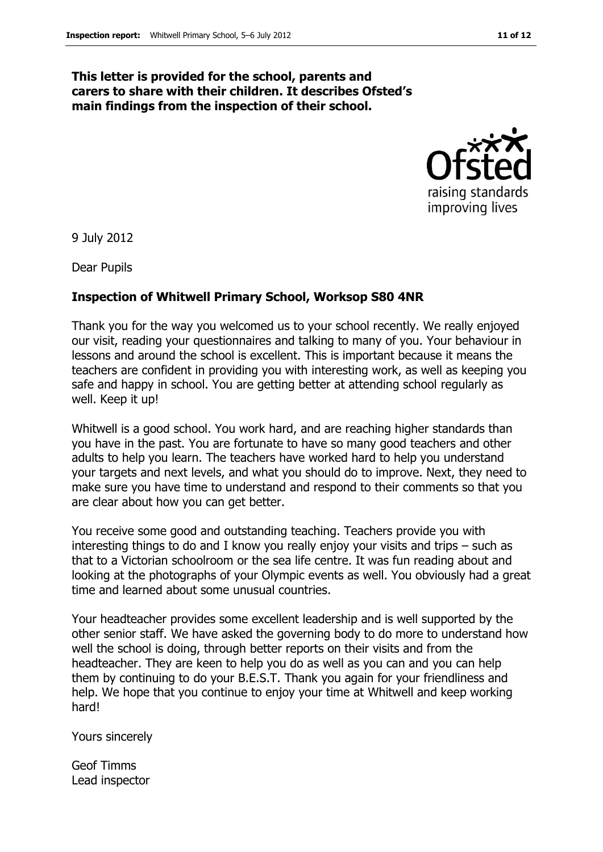#### **This letter is provided for the school, parents and carers to share with their children. It describes Ofsted's main findings from the inspection of their school.**



9 July 2012

Dear Pupils

#### **Inspection of Whitwell Primary School, Worksop S80 4NR**

Thank you for the way you welcomed us to your school recently. We really enjoyed our visit, reading your questionnaires and talking to many of you. Your behaviour in lessons and around the school is excellent. This is important because it means the teachers are confident in providing you with interesting work, as well as keeping you safe and happy in school. You are getting better at attending school regularly as well. Keep it up!

Whitwell is a good school. You work hard, and are reaching higher standards than you have in the past. You are fortunate to have so many good teachers and other adults to help you learn. The teachers have worked hard to help you understand your targets and next levels, and what you should do to improve. Next, they need to make sure you have time to understand and respond to their comments so that you are clear about how you can get better.

You receive some good and outstanding teaching. Teachers provide you with interesting things to do and I know you really enjoy your visits and trips – such as that to a Victorian schoolroom or the sea life centre. It was fun reading about and looking at the photographs of your Olympic events as well. You obviously had a great time and learned about some unusual countries.

Your headteacher provides some excellent leadership and is well supported by the other senior staff. We have asked the governing body to do more to understand how well the school is doing, through better reports on their visits and from the headteacher. They are keen to help you do as well as you can and you can help them by continuing to do your B.E.S.T. Thank you again for your friendliness and help. We hope that you continue to enjoy your time at Whitwell and keep working hard!

Yours sincerely

Geof Timms Lead inspector